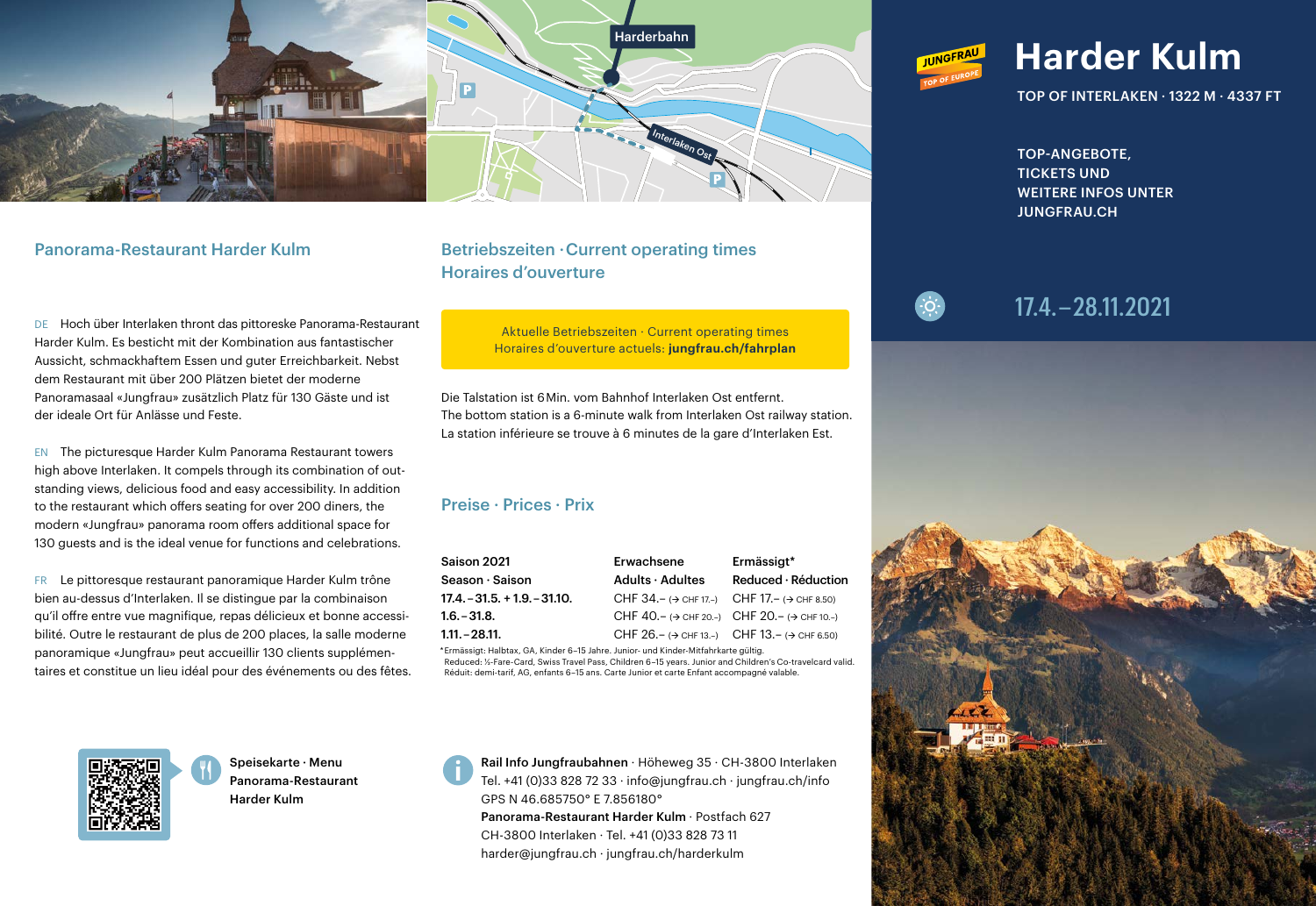

DE Hoch über Interlaken thront das pittoreske Panorama-Restaurant Harder Kulm. Es besticht mit der Kombination aus fantastischer Aussicht, schmackhaftem Essen und guter Erreichbarkeit. Nebst dem Restaurant mit über 200 Plätzen bietet der moderne Panoramasaal «Jungfrau» zusätzlich Platz für 130 Gäste und ist der ideale Ort für Anlässe und Feste.

EN The picturesque Harder Kulm Panorama Restaurant towers high above Interlaken. It compels through its combination of outstanding views, delicious food and easy accessibility. In addition to the restaurant which offers seating for over 200 diners, the modern «Jungfrau» panorama room offers additional space for 130 guests and is the ideal venue for functions and celebrations.

FR Le pittoresque restaurant panoramique Harder Kulm trône bien au-dessus d'Interlaken. Il se distingue par la combinaison qu'il offre entre vue magnifique, repas délicieux et bonne accessibilité. Outre le restaurant de plus de 200 places, la salle moderne panoramique «Jungfrau» peut accueillir 130 clients supplémentaires et constitue un lieu idéal pour des événements ou des fêtes.

## Panorama-Restaurant Harder Kulm Betriebszeiten · Current operating times Horaires d'ouverture

Aktuelle Betriebszeiten · Current operating times Horaires d'ouverture actuels: **jungfrau.ch/fahrplan**

Die Talstation ist 6 Min. vom Bahnhof Interlaken Ost entfernt. The bottom station is a 6-minute walk from Interlaken Ost railway station. La station inférieure se trouve à 6 minutes de la gare d'Interlaken Est.

### Preise · Prices · Prix

| Saison 2021                  | Erwachsene                                                               | Ermässigt*                                                                    |
|------------------------------|--------------------------------------------------------------------------|-------------------------------------------------------------------------------|
| Season · Saison              | Adults $\cdot$ Adultes                                                   | $Reduced \cdot$ Réduction                                                     |
| $17.4 - 31.5 + 1.9 - 31.10.$ | CHF 34. - ( $\rightarrow$ CHF 17. -) CHF 17. - ( $\rightarrow$ CHF 8.50) |                                                                               |
| $1.6. - 31.8.$               |                                                                          | CHF 40. - $\leftrightarrow$ CHF 20. -) CHF 20. - $\leftrightarrow$ CHF 10. -) |
| 1.11. – 28.11.               |                                                                          | CHF 26. - ( $\rightarrow$ CHF 13. -) CHF 13. - ( $\rightarrow$ CHF 6.50)      |

\* Ermässigt: Halbtax, GA, Kinder 6–15 Jahre. Junior- und Kinder-Mitfahrkarte gültig. Reduced: ½-Fare-Card, Swiss Travel Pass, Children 6–15 years. Junior and Children's Co-travelcard valid. Réduit: demi-tarif, AG, enfants 6–15 ans. Carte Junior et carte Enfant accompagné valable.



Speisekarte · Menu Panorama-Restaurant Harder Kulm

Rail Info Jungfraubahnen · Höheweg 35 · CH-3800 Interlaken Tel. +41 (0)33 828 72 33 · info@jungfrau.ch · jungfrau.ch/info GPS N 46.685750° E 7.856180° Panorama-Restaurant Harder Kulm · Postfach 627 CH-3800 Interlaken · Tel. +41 (0)33 828 73 11 harder@jungfrau.ch · jungfrau.ch/harderkulm



TOP OF INTERLAKEN · 1322 M · 4337 FT

TOP-ANGEBOTE, TICKETS UND WEITERE INFOS UNTER JUNGFRAU.CH



# 17.4.–28.11.2021